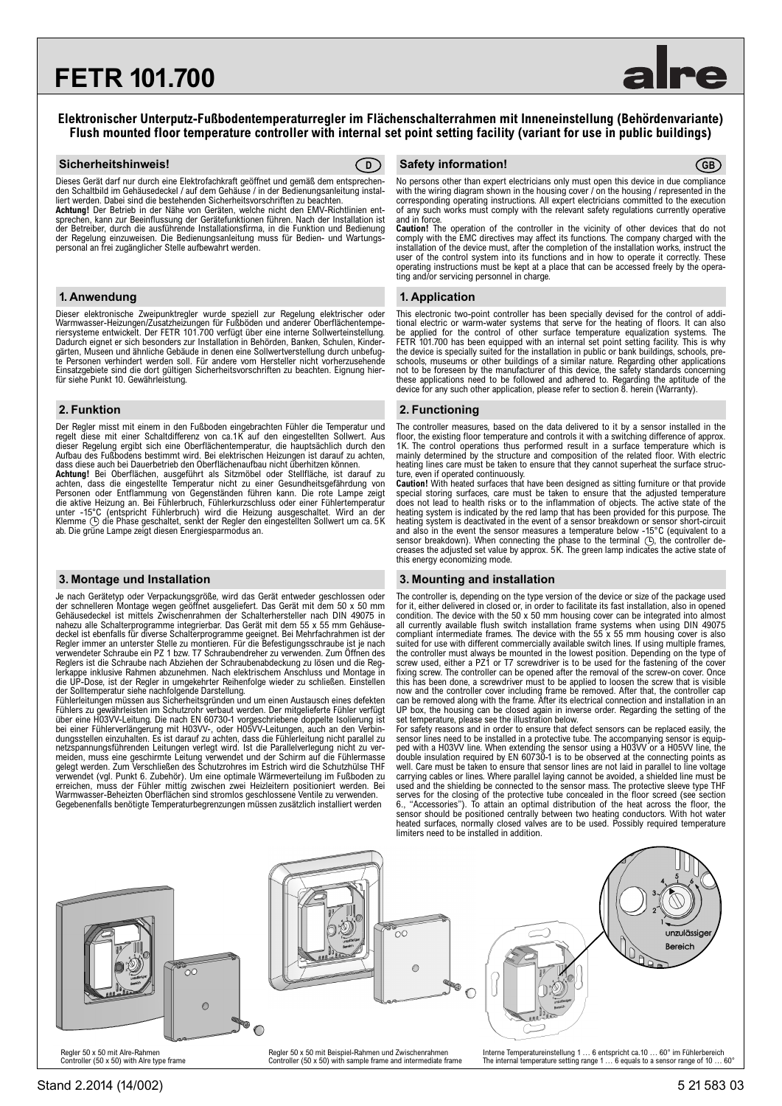# **FETR 101.700**



### **Elektronischer Unterputz-Fußbodentemperaturregler im Flächenschalterrahmen mit Inneneinstellung (Behördenvariante) Flush mounted floor temperature controller with internal set point setting facility (variant for use in public buildings)**

Dieses Gerät darf nur durch eine Elektrofachkraft geöffnet und gemäß dem entsprechen-den Schaltbild im Gehäusedeckel / auf dem Gehäuse / in der Bedienungsanleitung installiert werden. Dabei sind die bestehenden Sicherheitsvorschriften zu beachten.

**Achtung!** Der Betrieb in der Nähe von Geräten, welche nicht den EMV-Richtlinien entsprechen, kann zur Beeinflussung der Gerätefunktionen führen. Nach der Installation ist der Betreiber, durch die ausführende Installationsfirma, in die Funktion und Bedienung der Regelung einzuweisen. Die Bedienungsanleitung muss für Bedien- und Wartungspersonal an frei zugänglicher Stelle aufbewahrt werden.

Dieser elektronische Zweipunktregler wurde speziell zur Regelung elektrischer oder Warmwasser-Heizungen/Zusatzheizungen für Fußböden und anderer Oberflächentempe-<br>riersysteme entwickelt. Der FETR 101.700 verfügt über eine interne Sollwerteinstellung.<br>Dadurch eignet er sich besonders zur Installation in B te Personen verhindert werden soll. Für andere vom Hersteller nicht vorherzusehende Einsatzgebiete sind die dort gültigen Sicherheitsvorschriften zu beachten. Eignung hier-für siehe Punkt 10. Gewährleistung.

Der Regler misst mit einem in den Fußboden eingebrachten Fühler die Temperatur und regelt diese mit einer Schaltdifferenz von ca.1K auf den eingestellten Sollwert. Aus dieser Regelung ergibt sich eine Oberflächentemperatur, die hauptsächlich durch den Aufbau des Fußbodens bestimmt wird. Bei elektrischen Heizungen ist darauf zu achten, dass diese auch bei Dauerbetrieb den Oberflächenaufbau nicht überhitzen können.

**Achtung!** Bei Oberflächen, ausgeführt als Sitzmöbel oder Stellfläche, ist darauf zu<br>achten, dass die eingestellte Temperatur nicht zu einer Gesundheitsgefährdung von<br>Personen oder Entflammung von Gegenständen führen kann. die aktive Heizung an. Bei Fühlerbruch, Fühlerkurzschluss oder einer Fühlertemperatur unter -15°C (entspricht Fühlerbruch) wird die Heizung ausgeschaltet. Wird an der Klemme  $\odot$  die Phase geschaltet, senkt der Regler den eingestellten Sollwert um ca. 5K ab. Die grüne Lampe zeigt diesen Energiesparmodus an.

Je nach Gerätetyp oder Verpackungsgröße, wird das Gerät entweder geschlossen oder<br>der schnelleren Montage wegen geöffnet ausgeliefert. Das Gerät mit dem 50 x 50 mm<br>Gehäusedeckel ist mittels Zwischenrahmen der Schalterherst nahezu alle Schalterprogramme integrierbar. Das Gerät mit dem 55 x 55 mm Gehäusedeckel ist ebenfalls für diverse Schalterprogramme geeignet. Bei Mehrfachrahmen ist der<br>Regler immer an unterster Stelle zu montieren. Für die Befestigungsschraube ist je nach<br>verwendeter Schraube ein PZ 1 bzw. T7 Schraube Reglers ist die Schraube nach Abziehen der Schraubenabdeckung zu lösen und die Reglerkappe inklusive Rahmen abzunehmen. Nach elektrischem Anschluss und Montage in die UP-Dose, ist der Regler in umgekehrter Reihenfolge wieder zu schließen. Einstellen der Solltemperatur siehe nachfolgende Darstellung.

Fühlerleitungen müssen aus Sicherheitsgründen und um einen Austausch eines defekten Fühlers zu gewährleisten im Schutzrohr verbaut werden. Der mitgelieferte Fühler verfügt über eine H03VV-Leitung. Die nach EN 60730-1 vorgeschriebene doppelte Isolierung ist bei einer Fühlerverlängerung mit H03VV-, oder H05VV-Leitungen, auch an den Verbin-<br>dungsstellen einzuhalten. Es ist darauf zu achten, dass die Fühlerleitung nicht parallel zu<br>netzspannungsführenden Leitungen verlegt wird. verwendet (vgl. Punkt 6. Zubehör). Um eine optimale Wärmeverteilung im Fußboden zu erreichen, muss der Fühler mittig zwischen zwei Heizleitern positioniert werden. Bei Warmwasser-Beheizten Oberflächen sind stromlos geschlossene Ventile zu verwenden. Gegebenenfalls benötigte Temperaturbegrenzungen müssen zusätzlich installiert werden

#### **Sicherheitshinweis! Safety information! D GB**

No persons other than expert electricians only must open this device in due compliance with the wiring diagram shown in the housing cover / on the housing / represented in the corresponding operating instructions. All expert electricians committed to the execution of any such works must comply with the relevant safety regulations currently operative and in force.

**Caution!** The operation of the controller in the vicinity of other devices that do not<br>comply with the EMC directives may affect its functions. The company charged with the<br>installation of the device must, after the compl user of the control system into its functions and in how to operate it correctly. These operating instructions must be kept at a place that can be accessed freely by the operating and/or servicing personnel in charge.

#### **1. Anwendung 1. Application**

This electronic two-point controller has been specially devised for the control of additional electric or warm-water systems that serve for the heating of floors. It can also be applied for the control of other surface temperature equalization systems. The FETR 101.700 has been equipped with an internal set point setting facility. This is why the device is specially suited for the installation in public or bank buildings, schools, preschools, museums or other buildings of a similar nature. Regarding other applications not to be foreseen by the manufacturer of this device, the safety standards concerning these applications need to be followed and adhered to. Regarding the aptitude of the device for any such other application, please refer to section 8. herein (Warranty).

#### **2. Funktion 2. Functioning**

The controller measures, based on the data delivered to it by a sensor installed in the floor, the existing floor temperature and controls it with a switching difference of approx. 1K. The control operations thus performed result in a surface temperature which is mainly determined by the structure and composition of the related floor. With electric heating lines care must be taken to ensure that they cannot superheat the surface struc-

ture, even if operated continuously.<br>**Caution!** With heated surfaces that have been designed as sitting furniture or that provide<br>special storing surfaces, care must be taken to ensure that the adjusted temperature<br>does no heating system is deactivated in the event of a sensor breakdown or sensor short-circuit and also in the event the sensor measures a temperature below -15°C (equivalent to a sensor breakdown). When connecting the phase to the terminal  $\bigcirc$ , the controller decreases the adjusted set value by approx. 5K. The gr

### **3. Montage und Installation 3. Mounting and installation**

The controller is, depending on the type version of the device or size of the package used for it, either delivered in closed or, in order to facilitate its fast installation, also in opened condition. The device with the 50 x 50 mm housing cover can be integrated into almost all currently available flush switch installation frame systems when using DIN 49075 compliant intermediate frames. The device with the 55  $\times$  55 mm housing cover is also suited for use with different commercially availa fixing screw. The controller can be opened after the removal of the screw-on cover. Once this has been done, a screwdriver must to be applied to loosen the screw that is visible now and the controller cover including frame be removed. After that, the controller cap can be removed along with the frame. After its electrical connection and installation in an UP box, the housing can be closed again in inverse order. Regarding the setting of the set temperature, please see the illustration below.

For safety reasons and in order to ensure that defect sensors can be replaced easily, the<br>sensor lines need to be installed in a protective tube. The accompanying sensor is equip-<br>ped with a H03VV line. When extending the well. Care must be taken to ensure that sensor lines are not laid in parallel to line voltage carrying cables or lines. Where parallel laying cannot be avoided, a shielded line must be used and the shielding be connected to the sensor mass. The protective sleeve type THF serves for the closing of the protective tube concealed in the floor screed (see section 6., "Accessories"). To attain an optimal distribution of the heat across the floor, the sensor should be positioned centrally between two heating conductors. With hot water heated surfaces, normally closed valves are to be used. Possibly required temperature limiters need to be installed in addition.



Regler 50 x 50 mit Alre-Rahmen Controller (50 x 50) with Alre type frame

Regler 50 x 50 mit Beispiel-Rahmen und Zwischenrahmen Controller (50 x 50) with sample frame and intermediate frame

Interne Temperatureinstellung 1 ... 6 entspricht ca.10 ... 60° im Fühlerbereich<br>The internal temperature setting range 1 ... 6 equals to a sensor range of 10 ... 60°